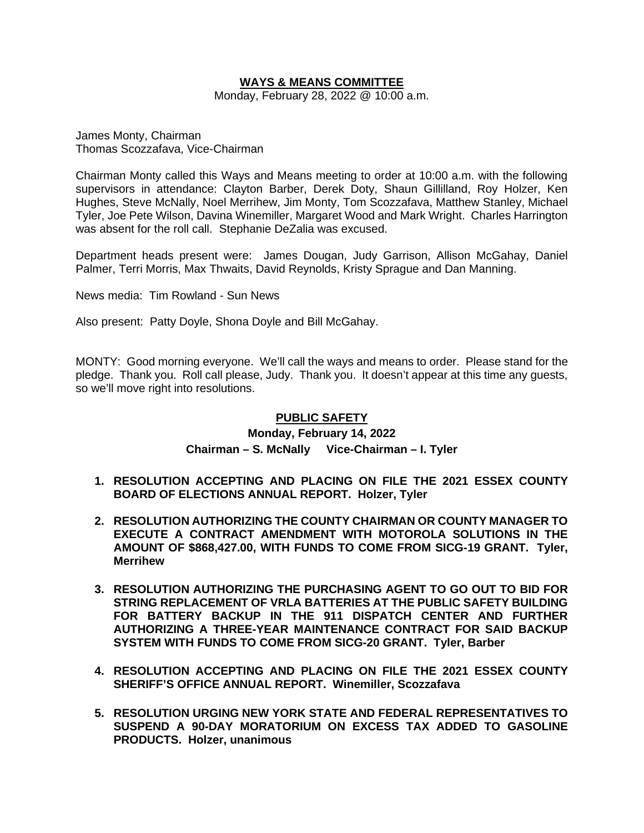# **WAYS & MEANS COMMITTEE**

Monday, February 28, 2022 @ 10:00 a.m.

James Monty, Chairman Thomas Scozzafava, Vice-Chairman

Chairman Monty called this Ways and Means meeting to order at 10:00 a.m. with the following supervisors in attendance: Clayton Barber, Derek Doty, Shaun Gillilland, Roy Holzer, Ken Hughes, Steve McNally, Noel Merrihew, Jim Monty, Tom Scozzafava, Matthew Stanley, Michael Tyler, Joe Pete Wilson, Davina Winemiller, Margaret Wood and Mark Wright. Charles Harrington was absent for the roll call. Stephanie DeZalia was excused.

Department heads present were: James Dougan, Judy Garrison, Allison McGahay, Daniel Palmer, Terri Morris, Max Thwaits, David Reynolds, Kristy Sprague and Dan Manning.

News media: Tim Rowland - Sun News

Also present: Patty Doyle, Shona Doyle and Bill McGahay.

MONTY: Good morning everyone. We'll call the ways and means to order. Please stand for the pledge. Thank you. Roll call please, Judy. Thank you. It doesn't appear at this time any guests, so we'll move right into resolutions.

### **PUBLIC SAFETY**

# **Monday, February 14, 2022 Chairman – S. McNally Vice-Chairman – I. Tyler**

- **1. RESOLUTION ACCEPTING AND PLACING ON FILE THE 2021 ESSEX COUNTY BOARD OF ELECTIONS ANNUAL REPORT. Holzer, Tyler**
- **2. RESOLUTION AUTHORIZING THE COUNTY CHAIRMAN OR COUNTY MANAGER TO EXECUTE A CONTRACT AMENDMENT WITH MOTOROLA SOLUTIONS IN THE AMOUNT OF \$868,427.00, WITH FUNDS TO COME FROM SICG-19 GRANT. Tyler, Merrihew**
- **3. RESOLUTION AUTHORIZING THE PURCHASING AGENT TO GO OUT TO BID FOR STRING REPLACEMENT OF VRLA BATTERIES AT THE PUBLIC SAFETY BUILDING FOR BATTERY BACKUP IN THE 911 DISPATCH CENTER AND FURTHER AUTHORIZING A THREE-YEAR MAINTENANCE CONTRACT FOR SAID BACKUP SYSTEM WITH FUNDS TO COME FROM SICG-20 GRANT. Tyler, Barber**
- **4. RESOLUTION ACCEPTING AND PLACING ON FILE THE 2021 ESSEX COUNTY SHERIFF'S OFFICE ANNUAL REPORT. Winemiller, Scozzafava**
- **5. RESOLUTION URGING NEW YORK STATE AND FEDERAL REPRESENTATIVES TO SUSPEND A 90-DAY MORATORIUM ON EXCESS TAX ADDED TO GASOLINE PRODUCTS. Holzer, unanimous**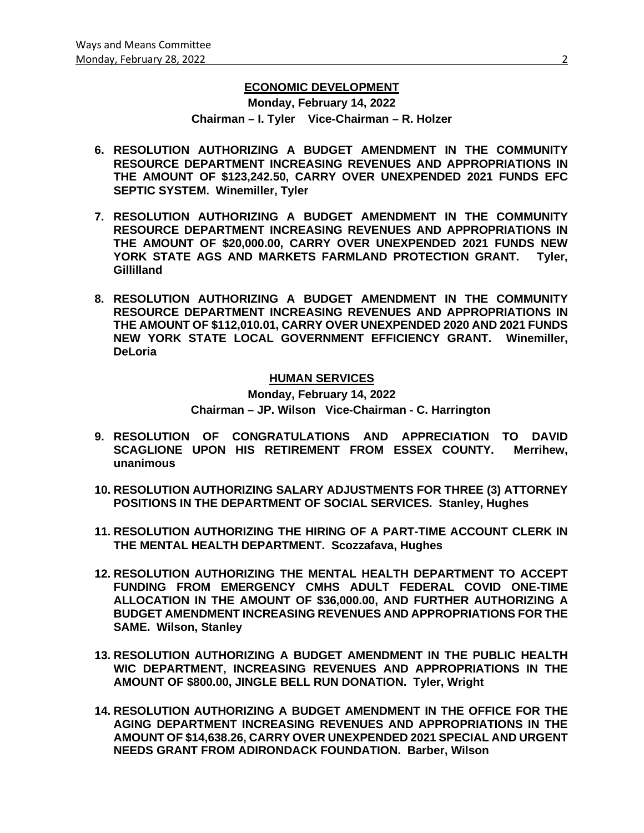## **ECONOMIC DEVELOPMENT**

**Monday, February 14, 2022 Chairman – I. Tyler Vice-Chairman – R. Holzer**

- **6. RESOLUTION AUTHORIZING A BUDGET AMENDMENT IN THE COMMUNITY RESOURCE DEPARTMENT INCREASING REVENUES AND APPROPRIATIONS IN THE AMOUNT OF \$123,242.50, CARRY OVER UNEXPENDED 2021 FUNDS EFC SEPTIC SYSTEM. Winemiller, Tyler**
- **7. RESOLUTION AUTHORIZING A BUDGET AMENDMENT IN THE COMMUNITY RESOURCE DEPARTMENT INCREASING REVENUES AND APPROPRIATIONS IN THE AMOUNT OF \$20,000.00, CARRY OVER UNEXPENDED 2021 FUNDS NEW YORK STATE AGS AND MARKETS FARMLAND PROTECTION GRANT. Tyler, Gillilland**
- **8. RESOLUTION AUTHORIZING A BUDGET AMENDMENT IN THE COMMUNITY RESOURCE DEPARTMENT INCREASING REVENUES AND APPROPRIATIONS IN THE AMOUNT OF \$112,010.01, CARRY OVER UNEXPENDED 2020 AND 2021 FUNDS NEW YORK STATE LOCAL GOVERNMENT EFFICIENCY GRANT. Winemiller, DeLoria**

#### **HUMAN SERVICES**

**Monday, February 14, 2022 Chairman – JP. Wilson Vice-Chairman - C. Harrington**

- **9. RESOLUTION OF CONGRATULATIONS AND APPRECIATION TO DAVID**
- **SCAGLIONE UPON HIS RETIREMENT FROM ESSEX COUNTY. Merrihew, unanimous**
- **10. RESOLUTION AUTHORIZING SALARY ADJUSTMENTS FOR THREE (3) ATTORNEY POSITIONS IN THE DEPARTMENT OF SOCIAL SERVICES. Stanley, Hughes**
- **11. RESOLUTION AUTHORIZING THE HIRING OF A PART-TIME ACCOUNT CLERK IN THE MENTAL HEALTH DEPARTMENT. Scozzafava, Hughes**
- **12. RESOLUTION AUTHORIZING THE MENTAL HEALTH DEPARTMENT TO ACCEPT FUNDING FROM EMERGENCY CMHS ADULT FEDERAL COVID ONE-TIME ALLOCATION IN THE AMOUNT OF \$36,000.00, AND FURTHER AUTHORIZING A BUDGET AMENDMENT INCREASING REVENUES AND APPROPRIATIONS FOR THE SAME. Wilson, Stanley**
- **13. RESOLUTION AUTHORIZING A BUDGET AMENDMENT IN THE PUBLIC HEALTH WIC DEPARTMENT, INCREASING REVENUES AND APPROPRIATIONS IN THE AMOUNT OF \$800.00, JINGLE BELL RUN DONATION. Tyler, Wright**
- **14. RESOLUTION AUTHORIZING A BUDGET AMENDMENT IN THE OFFICE FOR THE AGING DEPARTMENT INCREASING REVENUES AND APPROPRIATIONS IN THE AMOUNT OF \$14,638.26, CARRY OVER UNEXPENDED 2021 SPECIAL AND URGENT NEEDS GRANT FROM ADIRONDACK FOUNDATION. Barber, Wilson**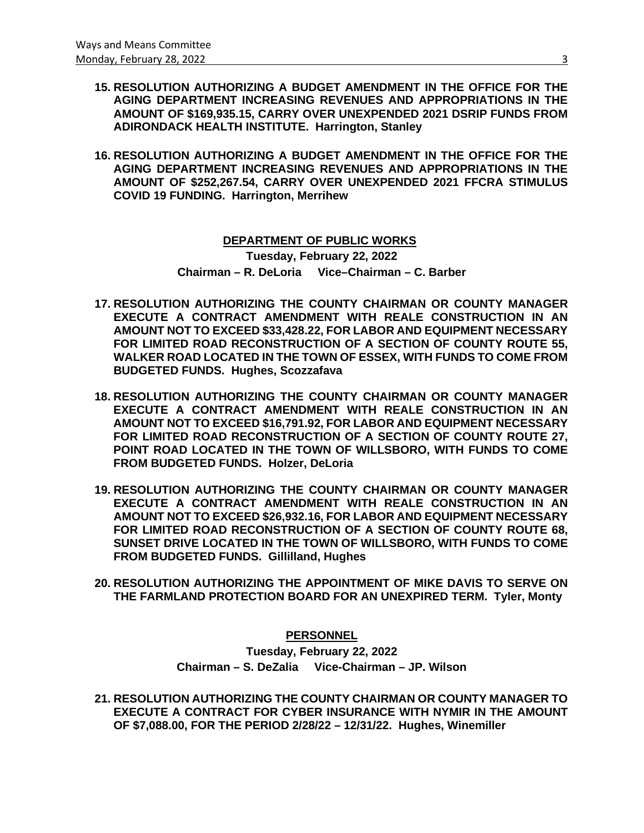- **15. RESOLUTION AUTHORIZING A BUDGET AMENDMENT IN THE OFFICE FOR THE AGING DEPARTMENT INCREASING REVENUES AND APPROPRIATIONS IN THE AMOUNT OF \$169,935.15, CARRY OVER UNEXPENDED 2021 DSRIP FUNDS FROM ADIRONDACK HEALTH INSTITUTE. Harrington, Stanley**
- **16. RESOLUTION AUTHORIZING A BUDGET AMENDMENT IN THE OFFICE FOR THE AGING DEPARTMENT INCREASING REVENUES AND APPROPRIATIONS IN THE AMOUNT OF \$252,267.54, CARRY OVER UNEXPENDED 2021 FFCRA STIMULUS COVID 19 FUNDING. Harrington, Merrihew**

 **DEPARTMENT OF PUBLIC WORKS Tuesday, February 22, 2022 Chairman – R. DeLoria Vice–Chairman – C. Barber**

- **17. RESOLUTION AUTHORIZING THE COUNTY CHAIRMAN OR COUNTY MANAGER EXECUTE A CONTRACT AMENDMENT WITH REALE CONSTRUCTION IN AN AMOUNT NOT TO EXCEED \$33,428.22, FOR LABOR AND EQUIPMENT NECESSARY FOR LIMITED ROAD RECONSTRUCTION OF A SECTION OF COUNTY ROUTE 55, WALKER ROAD LOCATED IN THE TOWN OF ESSEX, WITH FUNDS TO COME FROM BUDGETED FUNDS. Hughes, Scozzafava**
- **18. RESOLUTION AUTHORIZING THE COUNTY CHAIRMAN OR COUNTY MANAGER EXECUTE A CONTRACT AMENDMENT WITH REALE CONSTRUCTION IN AN AMOUNT NOT TO EXCEED \$16,791.92, FOR LABOR AND EQUIPMENT NECESSARY FOR LIMITED ROAD RECONSTRUCTION OF A SECTION OF COUNTY ROUTE 27, POINT ROAD LOCATED IN THE TOWN OF WILLSBORO, WITH FUNDS TO COME FROM BUDGETED FUNDS. Holzer, DeLoria**
- **19. RESOLUTION AUTHORIZING THE COUNTY CHAIRMAN OR COUNTY MANAGER EXECUTE A CONTRACT AMENDMENT WITH REALE CONSTRUCTION IN AN AMOUNT NOT TO EXCEED \$26,932.16, FOR LABOR AND EQUIPMENT NECESSARY FOR LIMITED ROAD RECONSTRUCTION OF A SECTION OF COUNTY ROUTE 68, SUNSET DRIVE LOCATED IN THE TOWN OF WILLSBORO, WITH FUNDS TO COME FROM BUDGETED FUNDS. Gillilland, Hughes**
- **20. RESOLUTION AUTHORIZING THE APPOINTMENT OF MIKE DAVIS TO SERVE ON THE FARMLAND PROTECTION BOARD FOR AN UNEXPIRED TERM. Tyler, Monty**

**PERSONNEL**

**Tuesday, February 22, 2022 Chairman – S. DeZalia Vice-Chairman – JP. Wilson**

**21. RESOLUTION AUTHORIZING THE COUNTY CHAIRMAN OR COUNTY MANAGER TO EXECUTE A CONTRACT FOR CYBER INSURANCE WITH NYMIR IN THE AMOUNT OF \$7,088.00, FOR THE PERIOD 2/28/22 – 12/31/22. Hughes, Winemiller**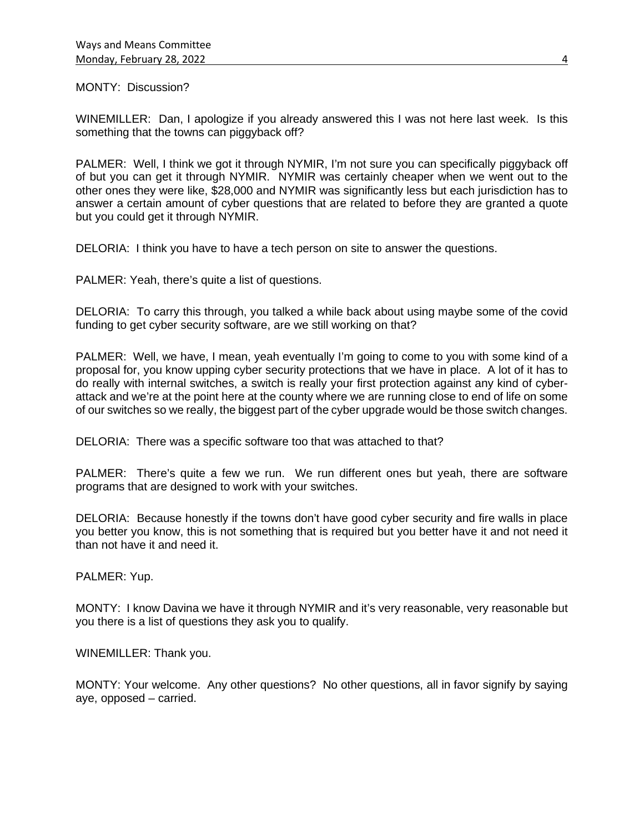MONTY: Discussion?

WINEMILLER: Dan, I apologize if you already answered this I was not here last week. Is this something that the towns can piggyback off?

PALMER: Well, I think we got it through NYMIR, I'm not sure you can specifically piggyback off of but you can get it through NYMIR. NYMIR was certainly cheaper when we went out to the other ones they were like, \$28,000 and NYMIR was significantly less but each jurisdiction has to answer a certain amount of cyber questions that are related to before they are granted a quote but you could get it through NYMIR.

DELORIA: I think you have to have a tech person on site to answer the questions.

PALMER: Yeah, there's quite a list of questions.

DELORIA: To carry this through, you talked a while back about using maybe some of the covid funding to get cyber security software, are we still working on that?

PALMER: Well, we have, I mean, yeah eventually I'm going to come to you with some kind of a proposal for, you know upping cyber security protections that we have in place. A lot of it has to do really with internal switches, a switch is really your first protection against any kind of cyberattack and we're at the point here at the county where we are running close to end of life on some of our switches so we really, the biggest part of the cyber upgrade would be those switch changes.

DELORIA: There was a specific software too that was attached to that?

PALMER: There's quite a few we run. We run different ones but yeah, there are software programs that are designed to work with your switches.

DELORIA: Because honestly if the towns don't have good cyber security and fire walls in place you better you know, this is not something that is required but you better have it and not need it than not have it and need it.

PALMER: Yup.

MONTY: I know Davina we have it through NYMIR and it's very reasonable, very reasonable but you there is a list of questions they ask you to qualify.

WINEMILLER: Thank you.

MONTY: Your welcome. Any other questions? No other questions, all in favor signify by saying aye, opposed – carried.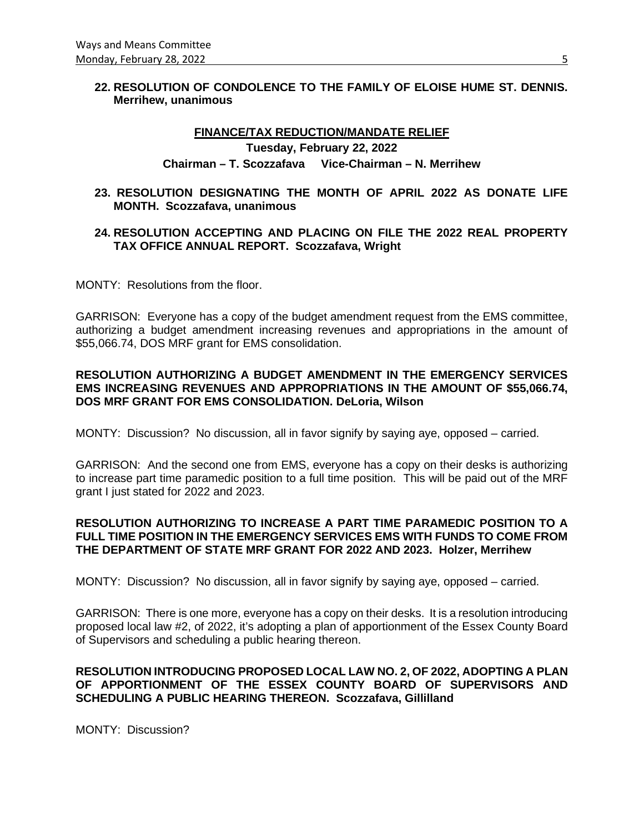## **22. RESOLUTION OF CONDOLENCE TO THE FAMILY OF ELOISE HUME ST. DENNIS. Merrihew, unanimous**

# **FINANCE/TAX REDUCTION/MANDATE RELIEF Tuesday, February 22, 2022 Chairman – T. Scozzafava Vice-Chairman – N. Merrihew**

**23. RESOLUTION DESIGNATING THE MONTH OF APRIL 2022 AS DONATE LIFE MONTH. Scozzafava, unanimous**

## **24. RESOLUTION ACCEPTING AND PLACING ON FILE THE 2022 REAL PROPERTY TAX OFFICE ANNUAL REPORT. Scozzafava, Wright**

MONTY: Resolutions from the floor.

GARRISON: Everyone has a copy of the budget amendment request from the EMS committee, authorizing a budget amendment increasing revenues and appropriations in the amount of \$55,066.74, DOS MRF grant for EMS consolidation.

## **RESOLUTION AUTHORIZING A BUDGET AMENDMENT IN THE EMERGENCY SERVICES EMS INCREASING REVENUES AND APPROPRIATIONS IN THE AMOUNT OF \$55,066.74, DOS MRF GRANT FOR EMS CONSOLIDATION. DeLoria, Wilson**

MONTY: Discussion? No discussion, all in favor signify by saying aye, opposed – carried.

GARRISON: And the second one from EMS, everyone has a copy on their desks is authorizing to increase part time paramedic position to a full time position. This will be paid out of the MRF grant I just stated for 2022 and 2023.

## **RESOLUTION AUTHORIZING TO INCREASE A PART TIME PARAMEDIC POSITION TO A FULL TIME POSITION IN THE EMERGENCY SERVICES EMS WITH FUNDS TO COME FROM THE DEPARTMENT OF STATE MRF GRANT FOR 2022 AND 2023. Holzer, Merrihew**

MONTY: Discussion? No discussion, all in favor signify by saying aye, opposed – carried.

GARRISON: There is one more, everyone has a copy on their desks. It is a resolution introducing proposed local law #2, of 2022, it's adopting a plan of apportionment of the Essex County Board of Supervisors and scheduling a public hearing thereon.

# **RESOLUTION INTRODUCING PROPOSED LOCAL LAW NO. 2, OF 2022, ADOPTING A PLAN OF APPORTIONMENT OF THE ESSEX COUNTY BOARD OF SUPERVISORS AND SCHEDULING A PUBLIC HEARING THEREON. Scozzafava, Gillilland**

MONTY: Discussion?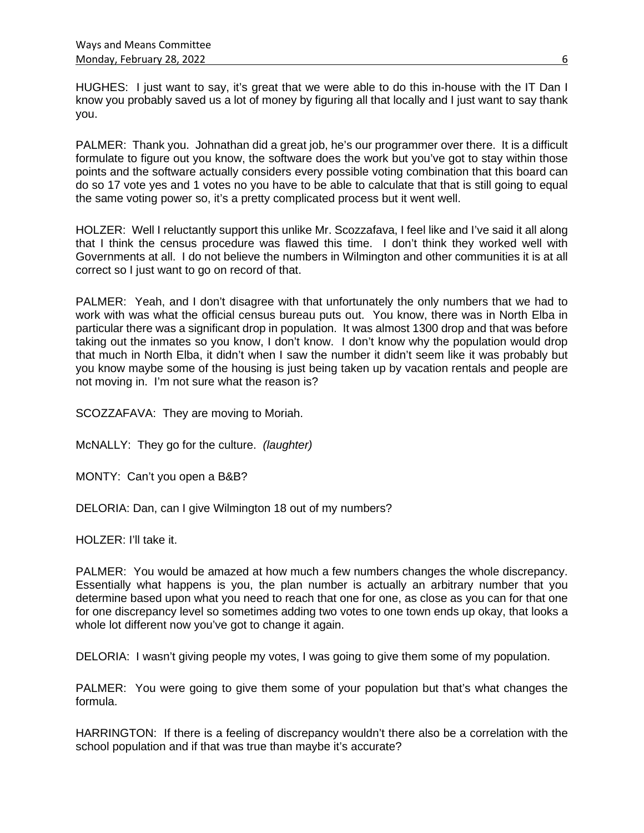HUGHES: I just want to say, it's great that we were able to do this in-house with the IT Dan I know you probably saved us a lot of money by figuring all that locally and I just want to say thank you.

PALMER: Thank you. Johnathan did a great job, he's our programmer over there. It is a difficult formulate to figure out you know, the software does the work but you've got to stay within those points and the software actually considers every possible voting combination that this board can do so 17 vote yes and 1 votes no you have to be able to calculate that that is still going to equal the same voting power so, it's a pretty complicated process but it went well.

HOLZER: Well I reluctantly support this unlike Mr. Scozzafava, I feel like and I've said it all along that I think the census procedure was flawed this time. I don't think they worked well with Governments at all. I do not believe the numbers in Wilmington and other communities it is at all correct so I just want to go on record of that.

PALMER: Yeah, and I don't disagree with that unfortunately the only numbers that we had to work with was what the official census bureau puts out. You know, there was in North Elba in particular there was a significant drop in population. It was almost 1300 drop and that was before taking out the inmates so you know, I don't know. I don't know why the population would drop that much in North Elba, it didn't when I saw the number it didn't seem like it was probably but you know maybe some of the housing is just being taken up by vacation rentals and people are not moving in. I'm not sure what the reason is?

SCOZZAFAVA: They are moving to Moriah.

McNALLY: They go for the culture. *(laughter)*

MONTY: Can't you open a B&B?

DELORIA: Dan, can I give Wilmington 18 out of my numbers?

HOLZER: I'll take it.

PALMER: You would be amazed at how much a few numbers changes the whole discrepancy. Essentially what happens is you, the plan number is actually an arbitrary number that you determine based upon what you need to reach that one for one, as close as you can for that one for one discrepancy level so sometimes adding two votes to one town ends up okay, that looks a whole lot different now you've got to change it again.

DELORIA: I wasn't giving people my votes, I was going to give them some of my population.

PALMER: You were going to give them some of your population but that's what changes the formula.

HARRINGTON: If there is a feeling of discrepancy wouldn't there also be a correlation with the school population and if that was true than maybe it's accurate?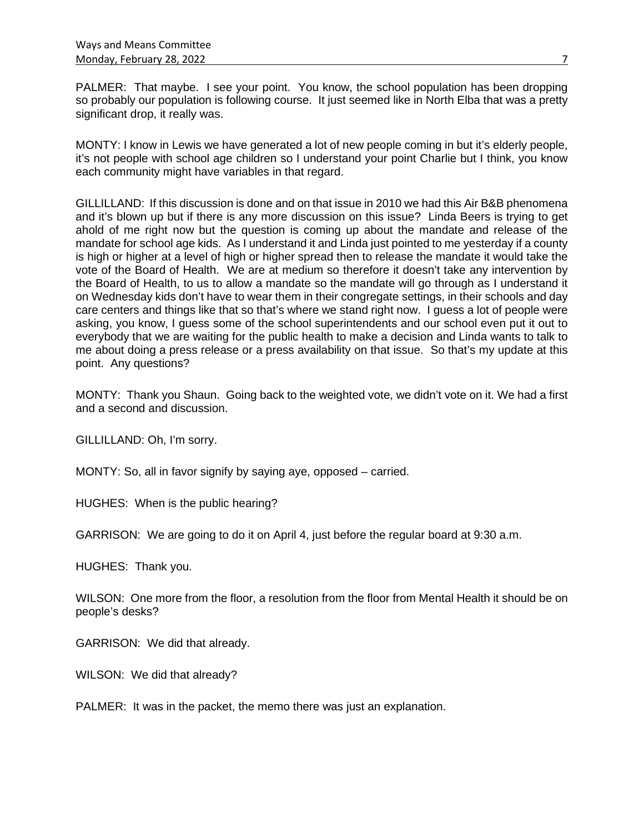PALMER: That maybe. I see your point. You know, the school population has been dropping so probably our population is following course. It just seemed like in North Elba that was a pretty significant drop, it really was.

MONTY: I know in Lewis we have generated a lot of new people coming in but it's elderly people, it's not people with school age children so I understand your point Charlie but I think, you know each community might have variables in that regard.

GILLILLAND: If this discussion is done and on that issue in 2010 we had this Air B&B phenomena and it's blown up but if there is any more discussion on this issue? Linda Beers is trying to get ahold of me right now but the question is coming up about the mandate and release of the mandate for school age kids. As I understand it and Linda just pointed to me yesterday if a county is high or higher at a level of high or higher spread then to release the mandate it would take the vote of the Board of Health. We are at medium so therefore it doesn't take any intervention by the Board of Health, to us to allow a mandate so the mandate will go through as I understand it on Wednesday kids don't have to wear them in their congregate settings, in their schools and day care centers and things like that so that's where we stand right now. I guess a lot of people were asking, you know, I guess some of the school superintendents and our school even put it out to everybody that we are waiting for the public health to make a decision and Linda wants to talk to me about doing a press release or a press availability on that issue. So that's my update at this point. Any questions?

MONTY: Thank you Shaun. Going back to the weighted vote, we didn't vote on it. We had a first and a second and discussion.

GILLILLAND: Oh, I'm sorry.

MONTY: So, all in favor signify by saying aye, opposed – carried.

HUGHES: When is the public hearing?

GARRISON: We are going to do it on April 4, just before the regular board at 9:30 a.m.

HUGHES: Thank you.

WILSON: One more from the floor, a resolution from the floor from Mental Health it should be on people's desks?

GARRISON: We did that already.

WILSON: We did that already?

PALMER: It was in the packet, the memo there was just an explanation.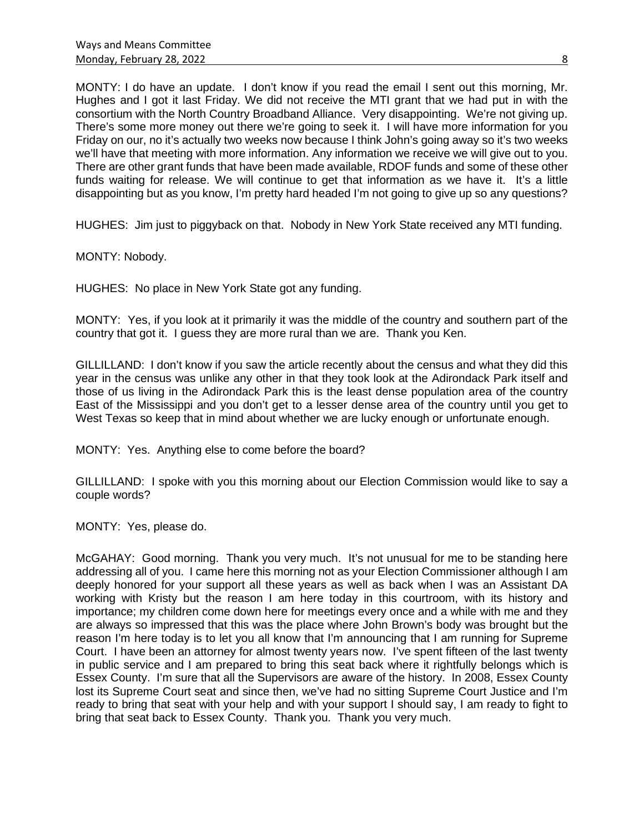MONTY: I do have an update. I don't know if you read the email I sent out this morning, Mr. Hughes and I got it last Friday. We did not receive the MTI grant that we had put in with the consortium with the North Country Broadband Alliance. Very disappointing. We're not giving up. There's some more money out there we're going to seek it. I will have more information for you Friday on our, no it's actually two weeks now because I think John's going away so it's two weeks we'll have that meeting with more information. Any information we receive we will give out to you. There are other grant funds that have been made available, RDOF funds and some of these other funds waiting for release. We will continue to get that information as we have it. It's a little disappointing but as you know, I'm pretty hard headed I'm not going to give up so any questions?

HUGHES: Jim just to piggyback on that. Nobody in New York State received any MTI funding.

MONTY: Nobody.

HUGHES: No place in New York State got any funding.

MONTY: Yes, if you look at it primarily it was the middle of the country and southern part of the country that got it. I guess they are more rural than we are. Thank you Ken.

GILLILLAND: I don't know if you saw the article recently about the census and what they did this year in the census was unlike any other in that they took look at the Adirondack Park itself and those of us living in the Adirondack Park this is the least dense population area of the country East of the Mississippi and you don't get to a lesser dense area of the country until you get to West Texas so keep that in mind about whether we are lucky enough or unfortunate enough.

MONTY: Yes. Anything else to come before the board?

GILLILLAND: I spoke with you this morning about our Election Commission would like to say a couple words?

MONTY: Yes, please do.

McGAHAY: Good morning. Thank you very much. It's not unusual for me to be standing here addressing all of you. I came here this morning not as your Election Commissioner although I am deeply honored for your support all these years as well as back when I was an Assistant DA working with Kristy but the reason I am here today in this courtroom, with its history and importance; my children come down here for meetings every once and a while with me and they are always so impressed that this was the place where John Brown's body was brought but the reason I'm here today is to let you all know that I'm announcing that I am running for Supreme Court. I have been an attorney for almost twenty years now. I've spent fifteen of the last twenty in public service and I am prepared to bring this seat back where it rightfully belongs which is Essex County. I'm sure that all the Supervisors are aware of the history. In 2008, Essex County lost its Supreme Court seat and since then, we've had no sitting Supreme Court Justice and I'm ready to bring that seat with your help and with your support I should say, I am ready to fight to bring that seat back to Essex County. Thank you. Thank you very much.